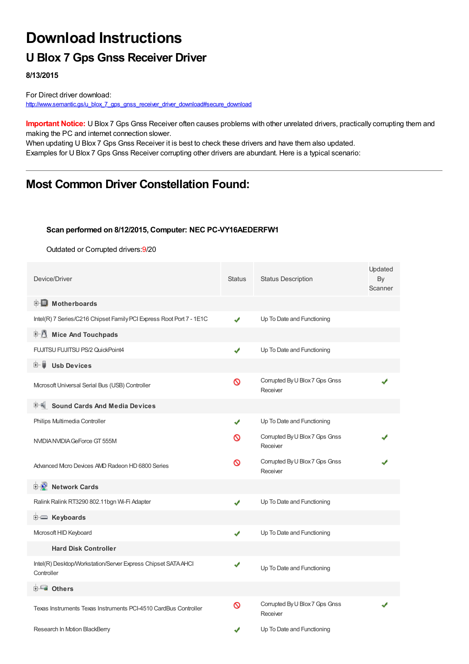## **Download Instructions**

## **U Blox 7 Gps Gnss Receiver Driver**

**8/13/2015**

For Direct driver download: [http://www.semantic.gs/u\\_blox\\_7\\_gps\\_gnss\\_receiver\\_driver\\_download#secure\\_download](http://www.semantic.gs/u_blox_7_gps_gnss_receiver_driver_download#secure_download)

**Important Notice:** U Blox 7 Gps Gnss Receiver often causes problems with other unrelated drivers, practically corrupting them and making the PC and internet connection slower.

When updating U Blox 7 Gps Gnss Receiver it is best to check these drivers and have them also updated. Examples for U Blox 7 Gps Gnss Receiver corrupting other drivers are abundant. Here is a typical scenario:

### **Most Common Driver Constellation Found:**

#### **Scan performed on 8/12/2015, Computer: NEC PC-VY16AEDERFW1**

Outdated or Corrupted drivers:9/20

| Device/Driver                                                               | <b>Status</b> | <b>Status Description</b>                  | Updated<br>By<br>Scanner |
|-----------------------------------------------------------------------------|---------------|--------------------------------------------|--------------------------|
| <b>E</b> Motherboards                                                       |               |                                            |                          |
| Intel(R) 7 Series/C216 Chipset Family PCI Express Root Port 7 - 1E1C        | ✔             | Up To Date and Functioning                 |                          |
| 中心 Mice And Touchpads                                                       |               |                                            |                          |
| FUJITSU FUJITSU PS/2 QuickPoint4                                            | ✔             | Up To Date and Functioning                 |                          |
| <b>Usb Devices</b><br>⊞… ■                                                  |               |                                            |                          |
| Microsoft Universal Serial Bus (USB) Controller                             | Ø             | Corrupted By U Blox 7 Gps Gnss<br>Receiver |                          |
| <b>Sound Cards And Media Devices</b>                                        |               |                                            |                          |
| Philips Multimedia Controller                                               | ✔             | Up To Date and Functioning                 |                          |
| NVIDIA NVIDIA GeForce GT 555M                                               | ര             | Corrupted By U Blox 7 Gps Gnss<br>Receiver |                          |
| Advanced Micro Devices AMD Radeon HD 6800 Series                            | Ø             | Corrupted By U Blox 7 Gps Gnss<br>Receiver |                          |
| <b>E</b> Network Cards                                                      |               |                                            |                          |
| Ralink Ralink RT3290 802.11bgn Wi-Fi Adapter                                |               | Up To Date and Functioning                 |                          |
| E Keyboards                                                                 |               |                                            |                          |
| Microsoft HID Keyboard                                                      | ✔             | Up To Date and Functioning                 |                          |
| <b>Hard Disk Controller</b>                                                 |               |                                            |                          |
| Intel(R) Desktop/Workstation/Server Express Chipset SATA AHCI<br>Controller | ✔             | Up To Date and Functioning                 |                          |
| <b>E</b> Others                                                             |               |                                            |                          |
| Texas Instruments Texas Instruments PCI-4510 CardBus Controller             | ଷ             | Corrupted By U Blox 7 Gps Gnss<br>Receiver |                          |
| Research In Motion BlackBerry                                               |               | Up To Date and Functioning                 |                          |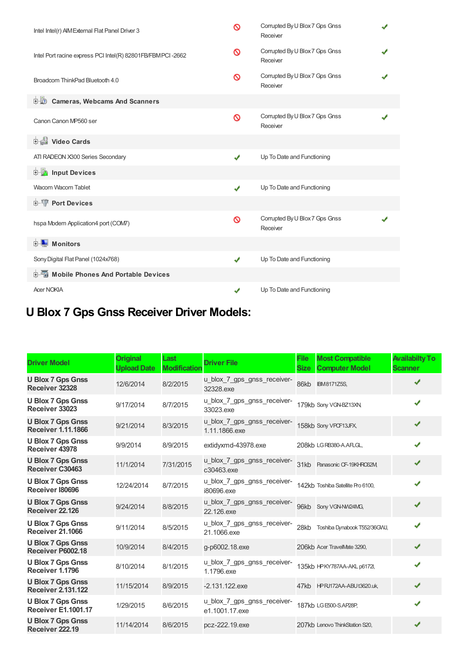| Intel Intel(r) AIM External Flat Panel Driver 3            | Ø | Corrupted By U Blox 7 Gps Gnss<br>Receiver |  |
|------------------------------------------------------------|---|--------------------------------------------|--|
| Intel Port racine express PCI Intel(R) 82801FB/FBMPCI-2662 | ଷ | Corrupted By U Blox 7 Gps Gnss<br>Receiver |  |
| Broadcom ThinkPad Bluetooth 4.0                            | ∾ | Corrupted By U Blox 7 Gps Gnss<br>Receiver |  |
| <b>D</b> Cameras, Webcams And Scanners                     |   |                                            |  |
| Canon Canon MP560 ser                                      | Ø | Corrupted By U Blox 7 Gps Gnss<br>Receiver |  |
| <b>Dideo Cards</b>                                         |   |                                            |  |
| ATI RADEON X300 Series Secondary                           | ✔ | Up To Date and Functioning                 |  |
| input Devices                                              |   |                                            |  |
| Wacom Wacom Tablet                                         | ✔ | Up To Date and Functioning                 |  |
| <b>E-TP</b> Port Devices                                   |   |                                            |  |
| hspa Modem Application4 port (COM7)                        | Ø | Corrupted By U Blox 7 Gps Gnss<br>Receiver |  |
| <b>E</b> Monitors                                          |   |                                            |  |
| Sony Digital Flat Panel (1024x768)                         | ✔ | Up To Date and Functioning                 |  |
| 中国 Mobile Phones And Portable Devices                      |   |                                            |  |
| <b>Acer NOKIA</b>                                          |   | Up To Date and Functioning                 |  |

# **U Blox 7 Gps Gnss Receiver Driver Models:**

| <b>Driver Model</b>                                    | <b>Original</b><br><b>Upload Date</b> | Last<br><b>Modification</b> | <b>Driver File</b>                            | <b>File</b><br><b>Size</b> | <b>Most Compatible</b><br><b>Computer Model</b> | <b>Availabilty To</b><br><b>Scanner</b> |
|--------------------------------------------------------|---------------------------------------|-----------------------------|-----------------------------------------------|----------------------------|-------------------------------------------------|-----------------------------------------|
| <b>U Blox 7 Gps Gnss</b><br>Receiver 32328             | 12/6/2014                             | 8/2/2015                    | u_blox_7_gps_gnss_receiver-<br>32328.exe      | 86kb                       | <b>IBM8171Z5S,</b>                              | ✔                                       |
| <b>U Blox 7 Gps Gnss</b><br>Receiver 33023             | 9/17/2014                             | 8/7/2015                    | u_blox_7_gps_gnss_receiver-<br>33023.exe      |                            | 179kb Sony VGN-BZ13XN,                          | ✔                                       |
| <b>U Blox 7 Gps Gnss</b><br><b>Receiver 1.11.1866</b>  | 9/21/2014                             | 8/3/2015                    | u_blox_7_gps_gnss_receiver-<br>1.11.1866.exe  |                            | 158kb Sony VPCF13JFX,                           | ✔                                       |
| <b>U Blox 7 Gps Gnss</b><br>Receiver 43978             | 9/9/2014                              | 8/9/2015                    | extidyxmd-43978.exe                           |                            | 208kb LGRB380-A.AFLGL,                          | ✔                                       |
| <b>U Blox 7 Gps Gnss</b><br>Receiver C30463            | 11/1/2014                             | 7/31/2015                   | u_blox_7_gps_gnss_receiver-<br>c30463.exe     |                            | 31kb Panasonic CF-19KHRO62M,                    | ✔                                       |
| <b>U Blox 7 Gps Gnss</b><br>Receiver I80696            | 12/24/2014                            | 8/7/2015                    | u_blox_7_gps_gnss_receiver-<br>i80696.exe     |                            | 142kb Toshiba Satellite Pro 6100,               | ✔                                       |
| <b>U Blox 7 Gps Gnss</b><br>Receiver 22.126            | 9/24/2014                             | 8/8/2015                    | u_blox_7_gps_gnss_receiver-<br>22.126.exe     | 96kb                       | Sony VGN-NW24MG,                                | ✔                                       |
| <b>U Blox 7 Gps Gnss</b><br><b>Receiver 21,1066</b>    | 9/11/2014                             | 8/5/2015                    | u_blox_7_gps_gnss_receiver-<br>21.1066.exe    | 28kb                       | Toshiba Dynabook T552/36GWJ,                    | ✔                                       |
| <b>U Blox 7 Gps Gnss</b><br>Receiver P6002.18          | 10/9/2014                             | 8/4/2015                    | g-p6002.18.exe                                |                            | 206kb Acer TravelMate 3290,                     | ✔                                       |
| <b>U Blox 7 Gps Gnss</b><br>Receiver 1.1796            | 8/10/2014                             | 8/1/2015                    | u_blox_7_gps_gnss_receiver-<br>1.1796.exe     |                            | 135kb HPKY787AA-AKL p6172l,                     | ✔                                       |
| <b>U Blox 7 Gps Gnss</b><br><b>Receiver 2.131.122</b>  | 11/15/2014                            | 8/9/2015                    | $-2.131.122$ .exe                             |                            | 47kb HPRJ172AA-ABUt3620.uk,                     | ✔                                       |
| <b>U Blox 7 Gps Gnss</b><br><b>Receiver E1.1001.17</b> | 1/29/2015                             | 8/6/2015                    | u_blox_7_gps_gnss_receiver-<br>e1.1001.17.exe |                            | 187kb LG E500-S.AP28P,                          | ✔                                       |
| <b>U Blox 7 Gps Gnss</b><br>Receiver 222.19            | 11/14/2014                            | 8/6/2015                    | pcz-222.19.exe                                |                            | 207kb Lenovo ThinkStation S20,                  | ✔                                       |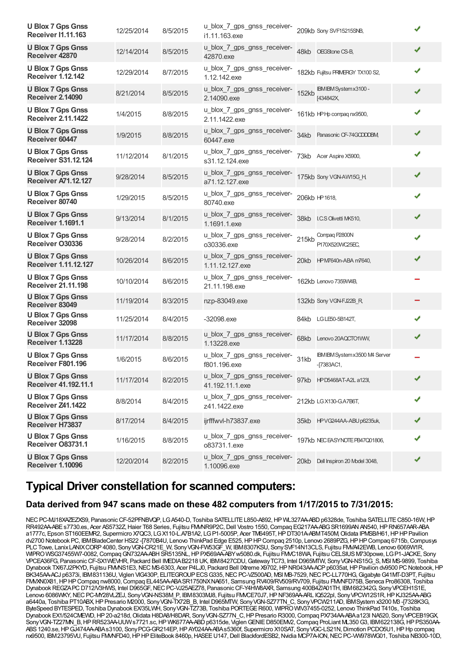| <b>U Blox 7 Gps Gnss</b><br><b>Receiver I1.11.163</b>  | 12/25/2014 | 8/5/2015 | u_blox_7_gps_gnss_receiver-<br>i1.11.163.exe   |              | 209kb Sony SVF15215SNB,                        |   |
|--------------------------------------------------------|------------|----------|------------------------------------------------|--------------|------------------------------------------------|---|
| <b>U Blox 7 Gps Gnss</b><br>Receiver 42870             | 12/14/2014 | 8/5/2015 | u_blox_7_gps_gnss_receiver-<br>42870.exe       | 48kb         | OEGStone CS-B.                                 | ✔ |
| <b>U Blox 7 Gps Gnss</b><br><b>Receiver 1.12.142</b>   | 12/29/2014 | 8/7/2015 | u_blox_7_gps_gnss_receiver-<br>1.12.142.exe    |              | 182kb Fujitsu PRIMERGY TX100 S2,               | ✔ |
| <b>U Blox 7 Gps Gnss</b><br><b>Receiver 2.14090</b>    | 8/21/2014  | 8/5/2015 | u_blox_7_gps_gnss_receiver-<br>2.14090.exe     | <b>152kb</b> | IBM IBM System x 3100 -<br>[434842X,           | ✔ |
| <b>U Blox 7 Gps Gnss</b><br><b>Receiver 2.11.1422</b>  | 1/4/2015   | 8/8/2015 | u_blox_7_gps_gnss_receiver-<br>2.11.1422.exe   |              | 161kb HPHp compaq nx9500,                      | ✔ |
| <b>U Blox 7 Gps Gnss</b><br>Receiver 60447             | 1/9/2015   | 8/8/2015 | u_blox_7_gps_gnss_receiver-<br>60447.exe       |              | 34kb Panasonic CF-74GCDDDBM                    | ✔ |
| <b>U Blox 7 Gps Gnss</b><br><b>Receiver S31.12.124</b> | 11/12/2014 | 8/1/2015 | u_blox_7_gps_gnss_receiver-<br>s31.12.124.exe  | 73kb         | Acer Aspire X5900,                             | ✔ |
| <b>U Blox 7 Gps Gnss</b><br><b>Receiver A71.12.127</b> | 9/28/2014  | 8/5/2015 | u_blox_7_gps_gnss_receiver-<br>a71.12.127.exe  |              | 175kb Sony VGN-AW15G_H,                        | ✔ |
| <b>U Blox 7 Gps Gnss</b><br>Receiver 80740             | 1/29/2015  | 8/5/2015 | u_blox_7_gps_gnss_receiver-<br>80740.exe       |              | 206kb HP 1618,                                 | ✔ |
| <b>U Blox 7 Gps Gnss</b><br><b>Receiver 1.1691.1</b>   | 9/13/2014  | 8/1/2015 | u_blox_7_gps_gnss_receiver-<br>1.1691.1.exe    |              | 38kb I.C.S Olivetti MK510,                     |   |
| <b>U Blox 7 Gps Gnss</b><br>Receiver O30336            | 9/28/2014  | 8/2/2015 | u_blox_7_gps_gnss_receiver-<br>o30336.exe      | 215kb        | Compaq P2800N<br>P170X520WC25EC,               |   |
| <b>U Blox 7 Gps Gnss</b><br>Receiver 1.11.12.127       | 10/26/2014 | 8/6/2015 | u_blox_7_gps_gnss_receiver-<br>1.11.12.127.exe | 20kb         | HPM7640n-ABA m7640,                            | ✔ |
| <b>U Blox 7 Gps Gnss</b><br><b>Receiver 21.11.198</b>  | 10/10/2014 | 8/6/2015 | u_blox_7_gps_gnss_receiver-<br>21.11.198.exe   |              | 162kb Lenovo 7359W4B,                          |   |
| <b>U Blox 7 Gps Gnss</b><br>Receiver 83049             | 11/19/2014 | 8/3/2015 | nzp-83049.exe                                  |              | 132kb Sony VGN-FJ22B_R,                        |   |
| <b>U Blox 7 Gps Gnss</b><br>Receiver 32098             | 11/25/2014 | 8/4/2015 | $-32098$ .exe                                  |              | 84kb LGLE50-5B142T,                            | ✔ |
| <b>U Blox 7 Gps Gnss</b><br><b>Receiver 1.13228</b>    | 11/17/2014 | 8/8/2015 | u_blox_7_gps_gnss_receiver-<br>1.13228.exe     | 68kb         | Lenovo 20AQCTO1VWV,                            | ✔ |
| <b>U Blox 7 Gps Gnss</b><br>Receiver F801.196          | 1/6/2015   | 8/6/2015 | u_blox_7_gps_gnss_receiver-<br>f801.196.exe    | 31kb         | IBM IBM System x3500 M4 Server<br>$-[7383AC1,$ |   |
| <b>U Blox 7 Gps Gnss</b><br>Receiver 41.192.11.1       | 11/17/2014 | 8/2/2015 | u_blox_7_gps_gnss_receiver-<br>41.192.11.1.exe |              | 97kb HPD5468AT-A2L a123l,                      | ✔ |
| <b>U Blox 7 Gps Gnss</b><br>Receiver Z41.1422          | 8/8/2014   | 8/4/2015 | u_blox_7_gps_gnss_receiver-<br>z41.1422.exe    |              | 212kb LG X130-G.A7B6T,                         | ✔ |
| <b>U Blox 7 Gps Gnss</b><br>Receiver H73837            | 8/17/2014  | 8/4/2015 | ijrfffwvl-h73837.exe                           |              | 35kb HPVG244AA-ABU p6235uk,                    |   |
| <b>U Blox 7 Gps Gnss</b><br>Receiver O83731.1          | 1/16/2015  | 8/8/2015 | u_blox_7_gps_gnss_receiver-<br>o83731.1.exe    |              | 197kb NEC EASYNOTE PB47Q01806,                 |   |
| <b>U Blox 7 Gps Gnss</b><br><b>Receiver 1.10096</b>    | 12/20/2014 | 8/2/2015 | u_blox_7_gps_gnss_receiver-<br>1.10096.exe     |              | 20kb Dell Inspiron 20 Model 3048,              | ✔ |

### **Typical Driver constellation for scanned computers:**

### **Data derived from 947 scans made on these 482 computers from 1/17/2015 to 7/31/2015:**

NEC PC-MJ18XAZEZXS9, Panasonic CF-52PFNBVQP, LGA540-D, Toshiba SATELLITE L850-A892, HP WL327AA-ABD p6328de, Toshiba SATELLITE C850-16W, HP RR492AA-ABE s7730.es, Acer AS5732Z, Haier T68 Series, Fujitsu FMMR9P2C, Dell Vostro 1550, Compaq EG217AA-ABG SR1699AN AN540, HP RN657AAR-ABA a1777c, Epson ST160EEMR2, Supermicro X7QC3, LGX110-L.A7B1A2, LGP1-5005P, Acer TM6495T,HPDT301A-ABMT450M,Olidata IPMSB/H61,HPHPPavilion dv2700 Notebook PC, IBMBladeCenter HS22 -[7870B4U, Lenovo ThinkPad Edge E525,HPHPCompaq 2510p, Lenovo 2689PZG,HPHPCompaq 6715b,Compusys PLCTowe, LanixLANIXCORP4080, SonyVGN-CR21E\_W, SonyVGN-FW53GF\_W, IBM8307KSU, SonySVF14N13CLS, Fujitsu FMVA42EWB, Lenovo 6069W1R, WIPROWSG37455W7-0082,CompaqGN732AA-ABHSR5135NL,HPPX569AA-ABYw5080.dk, Fujitsu FMVC18WA, Fujitsu CELSIUSM730powe, LGP1-JACKE, Sony VPCEA36FG, PanasonicCF-SX1WEVHR, Packard Bell IMEDIAB2218 UK, IBM8427CDU,GatewayTC73, Intel D965MTW, SonyVGN-NS15G\_S, MSI MS-9899, Toshiba Dynabook TX/67J2PKYD, Fujitsu FMMNS1E3, NEC MS-6303, Acer P4LJ0, Packard Bell IXtreme X9702, HP NR043AA-ACP p6035at, HP Pavilion dv9500 PC Notebook, HP BK345AA-ACJ p6373i, IBM831136U, Viglen VIG430P, ELITEGROUP ECS G335, NEC PC-VZ500AD, NSI MB-7529, NEC PC-LL770HG, Gigabyte G41MT-D3PT, Fujitsu FMXN0X81, HP HP Compaq nw8000, Compaq EL445AA-ABA SR1750NXNA651, Samsung RV409/RV509/RV709, Fujitsu FMMFD75B, Seneca Pro86308, Toshiba Dynabook REGZAPC D712/V3HWS, Intel D965GF, NEC PC-VJ25AEZ78, Panasonic CF-Y4HW8AXR, Samsung 400B4Z/A01TH, IBM682342G, Sony VPCEH1S1E, Lenovo 6086WKY, NEC PC-MY28VLZEJ, Sony VGN-NS38M\_P, IBM8303MJ8, Fujitsu FMVCE70J7, HP NF369AA-ARL IQ522pl, Sony VPCW12S1R, HP KJ325AA-ABG a6440a, Toshiba PT10ABX,HPPresario M2000, SonyVGN-TX72B\_B, Intel D965MTW, SonyVGN-SZ77TN\_C, SonyVPCW211AD, IBMSystem x3200 M3 -[7328K3G, ByteSpeed BYTESPED, Toshiba Dynabook EX/35LWH, SonyVGN-TZ73B, Toshiba PORTEGER600, WIPROWIV37455-0252, Lenovo ThinkPad T410s, Toshiba Dynabook EX1/524CMEWD, HP 20-a218d, Olidata H8DA8/H8DAR, Sony VGN-SZ77N C, HP Presario R3000, Compaq PX734AA-ABAa123l NA520, Sony VPCEB19GX, Sony VGN-TZ27MN\_B, HPRR523AA-UUWs7721.sc, HP WK677AA-ABD p6315de, Viglen GENIED850EMV2, Compaq ProLiant ML350G3, IBM622138G, HPPS350AA-ABS1240.se,HPGJ474AA-ABAs3100, SonyPCG-GR214EP,HPAY024AA-ABAs5360f, Supermicro X10SAT, SonyVGC-LS21N,Dimotion PCDO5U1,HPHp compaq nx9500, IBM23795VU, Fujitsu FMVNFD40,HPHPEliteBook 8460p,HASEEU147,Dell BlackfordESB2,Nvidia MCP7A-ION,NECPC-VW978WG01, Toshiba NB300-10D,